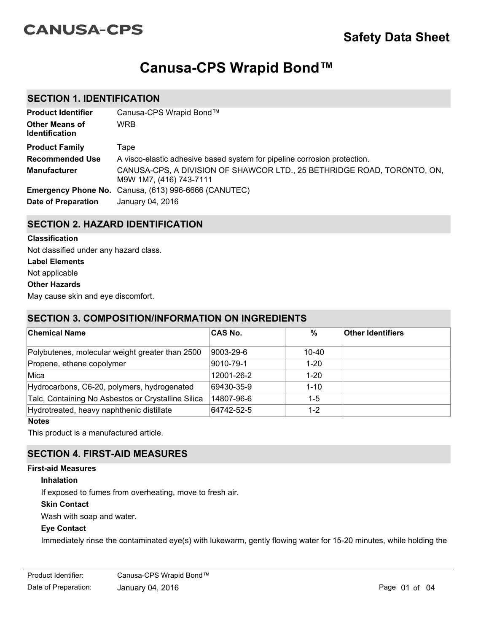# **CANUSA-CPS**

# **Canusa-CPS Wrapid Bond™**

## **SECTION 1. IDENTIFICATION**

| <b>Product Identifier</b>                      | Canusa-CPS Wrapid Bond™                                                                            |
|------------------------------------------------|----------------------------------------------------------------------------------------------------|
| <b>Other Means of</b><br><b>Identification</b> | <b>WRB</b>                                                                                         |
| <b>Product Family</b>                          | Tape                                                                                               |
| <b>Recommended Use</b>                         | A visco-elastic adhesive based system for pipeline corrosion protection.                           |
| <b>Manufacturer</b>                            | CANUSA-CPS, A DIVISION OF SHAWCOR LTD., 25 BETHRIDGE ROAD, TORONTO, ON,<br>M9W 1M7, (416) 743-7111 |
|                                                | <b>Emergency Phone No.</b> Canusa, (613) 996-6666 (CANUTEC)                                        |
| Date of Preparation                            | January 04, 2016                                                                                   |

## **SECTION 2. HAZARD IDENTIFICATION**

#### **Classification**

Not classified under any hazard class.

**Label Elements**

Not applicable

**Other Hazards**

May cause skin and eye discomfort.

## **SECTION 3. COMPOSITION/INFORMATION ON INGREDIENTS**

| <b>Chemical Name</b>                               | <b>CAS No.</b> | %         | <b>Other Identifiers</b> |
|----------------------------------------------------|----------------|-----------|--------------------------|
|                                                    |                |           |                          |
| Polybutenes, molecular weight greater than 2500    | 9003-29-6      | $10 - 40$ |                          |
| Propene, ethene copolymer                          | 9010-79-1      | $1 - 20$  |                          |
| Mica                                               | 12001-26-2     | $1 - 20$  |                          |
| Hydrocarbons, C6-20, polymers, hydrogenated        | 69430-35-9     | $1 - 10$  |                          |
| Talc, Containing No Asbestos or Crystalline Silica | 14807-96-6     | 1-5       |                          |
| Hydrotreated, heavy naphthenic distillate          | 64742-52-5     | $1 - 2$   |                          |

**Notes**

This product is a manufactured article.

# **SECTION 4. FIRST-AID MEASURES**

## **First-aid Measures**

## **Inhalation**

If exposed to fumes from overheating, move to fresh air.

#### **Skin Contact**

Wash with soap and water.

## **Eye Contact**

Immediately rinse the contaminated eye(s) with lukewarm, gently flowing water for 15-20 minutes, while holding the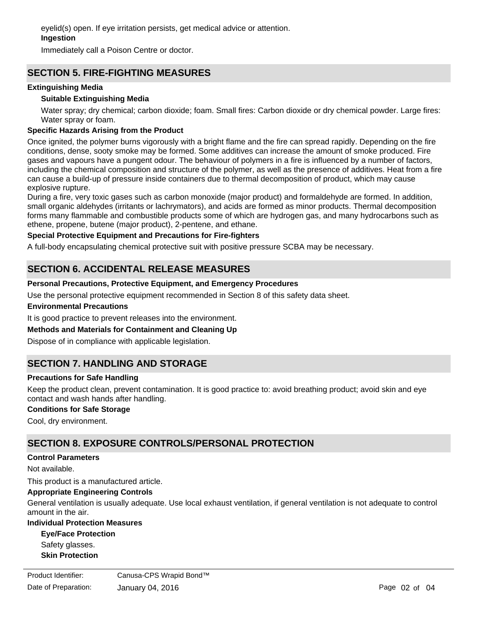eyelid(s) open. If eye irritation persists, get medical advice or attention.

## **Ingestion**

Immediately call a Poison Centre or doctor.

## **SECTION 5. FIRE-FIGHTING MEASURES**

#### **Extinguishing Media**

#### **Suitable Extinguishing Media**

Water spray; dry chemical; carbon dioxide; foam. Small fires: Carbon dioxide or dry chemical powder. Large fires: Water spray or foam.

#### **Specific Hazards Arising from the Product**

Once ignited, the polymer burns vigorously with a bright flame and the fire can spread rapidly. Depending on the fire conditions, dense, sooty smoke may be formed. Some additives can increase the amount of smoke produced. Fire gases and vapours have a pungent odour. The behaviour of polymers in a fire is influenced by a number of factors, including the chemical composition and structure of the polymer, as well as the presence of additives. Heat from a fire can cause a build-up of pressure inside containers due to thermal decomposition of product, which may cause explosive rupture.

During a fire, very toxic gases such as carbon monoxide (major product) and formaldehyde are formed. In addition, small organic aldehydes (irritants or lachrymators), and acids are formed as minor products. Thermal decomposition forms many flammable and combustible products some of which are hydrogen gas, and many hydrocarbons such as ethene, propene, butene (major product), 2-pentene, and ethane.

#### **Special Protective Equipment and Precautions for Fire-fighters**

A full-body encapsulating chemical protective suit with positive pressure SCBA may be necessary.

## **SECTION 6. ACCIDENTAL RELEASE MEASURES**

#### **Personal Precautions, Protective Equipment, and Emergency Procedures**

Use the personal protective equipment recommended in Section 8 of this safety data sheet.

#### **Environmental Precautions**

It is good practice to prevent releases into the environment.

#### **Methods and Materials for Containment and Cleaning Up**

Dispose of in compliance with applicable legislation.

# **SECTION 7. HANDLING AND STORAGE**

#### **Precautions for Safe Handling**

Keep the product clean, prevent contamination. It is good practice to: avoid breathing product; avoid skin and eye contact and wash hands after handling.

#### **Conditions for Safe Storage**

Cool, dry environment.

## **SECTION 8. EXPOSURE CONTROLS/PERSONAL PROTECTION**

#### **Control Parameters**

Not available.

This product is a manufactured article.

## **Appropriate Engineering Controls**

General ventilation is usually adequate. Use local exhaust ventilation, if general ventilation is not adequate to control amount in the air.

#### **Individual Protection Measures**

Long sleeves and pants.

**Skin Protection Eye/Face Protection** Safety glasses.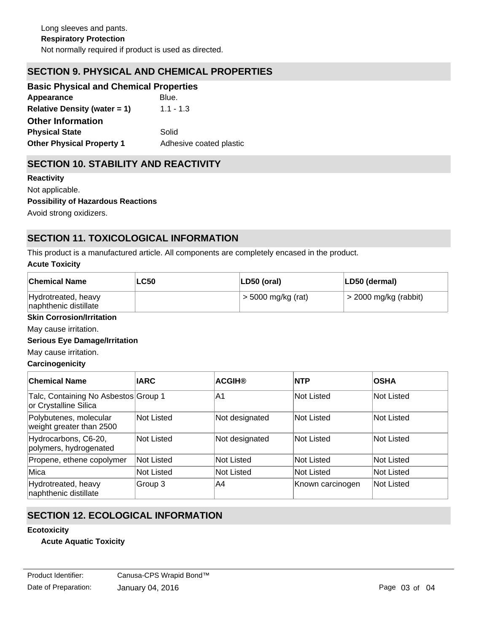# **SECTION 9. PHYSICAL AND CHEMICAL PROPERTIES**

| <b>Basic Physical and Chemical Properties</b> |                         |
|-----------------------------------------------|-------------------------|
| Appearance                                    | Blue.                   |
| Relative Density (water $= 1$ )               | $1.1 - 1.3$             |
| <b>Other Information</b>                      |                         |
| <b>Physical State</b>                         | Solid                   |
| <b>Other Physical Property 1</b>              | Adhesive coated plastic |

# **SECTION 10. STABILITY AND REACTIVITY**

| <b>Reactivity</b>                         |
|-------------------------------------------|
| Not applicable.                           |
| <b>Possibility of Hazardous Reactions</b> |
| Avoid strong oxidizers.                   |

# **SECTION 11. TOXICOLOGICAL INFORMATION**

This product is a manufactured article. All components are completely encased in the product.

#### **Acute Toxicity**

| <b>Chemical Name</b>                         | <b>LC50</b> | $ LD50$ (oral)       | LD50 (dermal)           |
|----------------------------------------------|-------------|----------------------|-------------------------|
| Hydrotreated, heavy<br>naphthenic distillate |             | $>$ 5000 mg/kg (rat) | $>$ 2000 mg/kg (rabbit) |

## **Skin Corrosion/Irritation**

May cause irritation.

#### **Serious Eye Damage/Irritation**

May cause irritation.

## **Carcinogenicity**

| <b>Chemical Name</b>                                          | <b>IARC</b>       | <b>ACGIH®</b>  | <b>NTP</b>        | <b>OSHA</b>       |
|---------------------------------------------------------------|-------------------|----------------|-------------------|-------------------|
| Talc, Containing No Asbestos Group 1<br>or Crystalline Silica |                   | IA1            | Not Listed        | Not Listed        |
| Polybutenes, molecular<br>weight greater than 2500            | Not Listed        | Not designated | Not Listed        | Not Listed        |
| Hydrocarbons, C6-20,<br>polymers, hydrogenated                | <b>Not Listed</b> | Not designated | Not Listed        | Not Listed        |
| Propene, ethene copolymer                                     | <b>Not Listed</b> | Not Listed     | Not Listed        | Not Listed        |
| Mica                                                          | <b>Not Listed</b> | Not Listed     | <b>Not Listed</b> | <b>Not Listed</b> |
| Hydrotreated, heavy<br>naphthenic distillate                  | Group 3           | A4             | Known carcinogen  | Not Listed        |

# **SECTION 12. ECOLOGICAL INFORMATION**

#### **Ecotoxicity**

## **Acute Aquatic Toxicity**